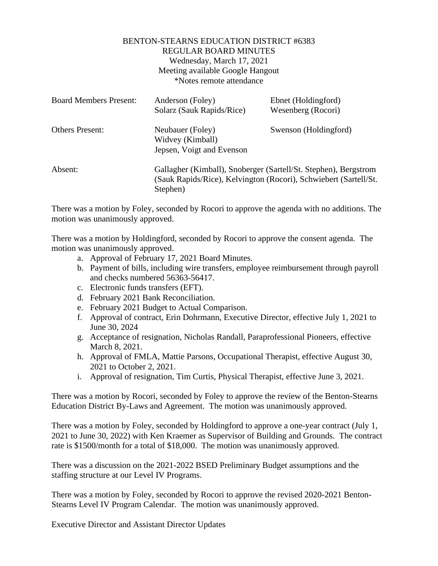## BENTON-STEARNS EDUCATION DISTRICT #6383 REGULAR BOARD MINUTES Wednesday, March 17, 2021 Meeting available Google Hangout \*Notes remote attendance

| <b>Board Members Present:</b> | Anderson (Foley)<br>Solarz (Sauk Rapids/Rice)                                                                                                   | Ebnet (Holdingford)<br>Wesenberg (Rocori) |
|-------------------------------|-------------------------------------------------------------------------------------------------------------------------------------------------|-------------------------------------------|
| <b>Others Present:</b>        | Neubauer (Foley)<br>Widvey (Kimball)<br>Jepsen, Voigt and Evenson                                                                               | Swenson (Holdingford)                     |
| Absent:                       | Gallagher (Kimball), Snoberger (Sartell/St. Stephen), Bergstrom<br>(Sauk Rapids/Rice), Kelvington (Rocori), Schwiebert (Sartell/St.<br>Stephen) |                                           |

There was a motion by Foley, seconded by Rocori to approve the agenda with no additions. The motion was unanimously approved.

There was a motion by Holdingford, seconded by Rocori to approve the consent agenda. The motion was unanimously approved.

- a. Approval of February 17, 2021 Board Minutes.
- b. Payment of bills, including wire transfers, employee reimbursement through payroll and checks numbered 56363-56417.
- c. Electronic funds transfers (EFT).
- d. February 2021 Bank Reconciliation.
- e. February 2021 Budget to Actual Comparison.
- f. Approval of contract, Erin Dohrmann, Executive Director, effective July 1, 2021 to June 30, 2024
- g. Acceptance of resignation, Nicholas Randall, Paraprofessional Pioneers, effective March 8, 2021.
- h. Approval of FMLA, Mattie Parsons, Occupational Therapist, effective August 30, 2021 to October 2, 2021.
- i. Approval of resignation, Tim Curtis, Physical Therapist, effective June 3, 2021.

There was a motion by Rocori, seconded by Foley to approve the review of the Benton-Stearns Education District By-Laws and Agreement. The motion was unanimously approved.

There was a motion by Foley, seconded by Holdingford to approve a one-year contract (July 1, 2021 to June 30, 2022) with Ken Kraemer as Supervisor of Building and Grounds. The contract rate is \$1500/month for a total of \$18,000. The motion was unanimously approved.

There was a discussion on the 2021-2022 BSED Preliminary Budget assumptions and the staffing structure at our Level IV Programs.

There was a motion by Foley, seconded by Rocori to approve the revised 2020-2021 Benton-Stearns Level IV Program Calendar. The motion was unanimously approved.

Executive Director and Assistant Director Updates